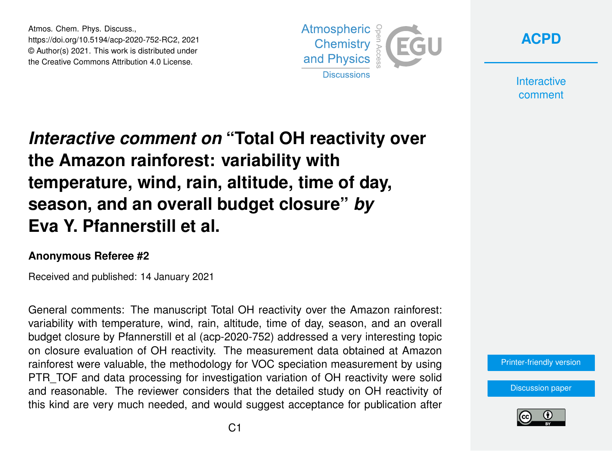Atmos. Chem. Phys. Discuss., https://doi.org/10.5194/acp-2020-752-RC2, 2021 © Author(s) 2021. This work is distributed under the Creative Commons Attribution 4.0 License.



**[ACPD](https://acp.copernicus.org/preprints/)**

**Interactive** comment

## *Interactive comment on* **"Total OH reactivity over the Amazon rainforest: variability with temperature, wind, rain, altitude, time of day, season, and an overall budget closure"** *by* **Eva Y. Pfannerstill et al.**

## **Anonymous Referee #2**

Received and published: 14 January 2021

General comments: The manuscript Total OH reactivity over the Amazon rainforest: variability with temperature, wind, rain, altitude, time of day, season, and an overall budget closure by Pfannerstill et al (acp-2020-752) addressed a very interesting topic on closure evaluation of OH reactivity. The measurement data obtained at Amazon rainforest were valuable, the methodology for VOC speciation measurement by using PTR\_TOF and data processing for investigation variation of OH reactivity were solid and reasonable. The reviewer considers that the detailed study on OH reactivity of this kind are very much needed, and would suggest acceptance for publication after

[Printer-friendly version](https://acp.copernicus.org/preprints/acp-2020-752/acp-2020-752-RC2-print.pdf)

[Discussion paper](https://acp.copernicus.org/preprints/acp-2020-752)